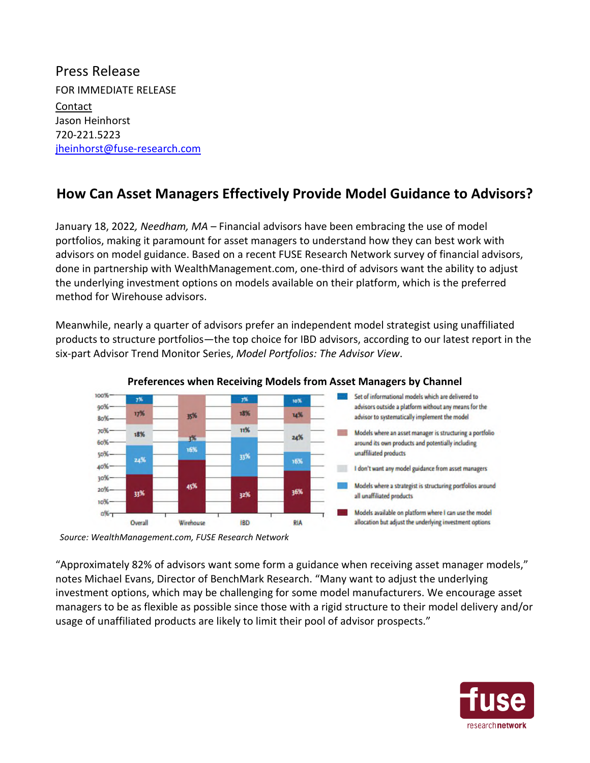Press Release FOR IMMEDIATE RELEASE Contact Jason Heinhorst 720-221.5223 jheinhorst@fuse-research.com

## **How Can Asset Managers Effectively Provide Model Guidance to Advisors?**

January 18, 2022*, Needham, MA* – Financial advisors have been embracing the use of model portfolios, making it paramount for asset managers to understand how they can best work with advisors on model guidance. Based on a recent FUSE Research Network survey of financial advisors, done in partnership with WealthManagement.com, one-third of advisors want the ability to adjust the underlying investment options on models available on their platform, which is the preferred method for Wirehouse advisors.

Meanwhile, nearly a quarter of advisors prefer an independent model strategist using unaffiliated products to structure portfolios—the top choice for IBD advisors, according to our latest report in the six-part Advisor Trend Monitor Series, *Model Portfolios: The Advisor View*.



## **Preferences when Receiving Models from Asset Managers by Channel**

*Source: WealthManagement.com, FUSE Research Network* 

"Approximately 82% of advisors want some form a guidance when receiving asset manager models," notes Michael Evans, Director of BenchMark Research. "Many want to adjust the underlying investment options, which may be challenging for some model manufacturers. We encourage asset managers to be as flexible as possible since those with a rigid structure to their model delivery and/or usage of unaffiliated products are likely to limit their pool of advisor prospects."